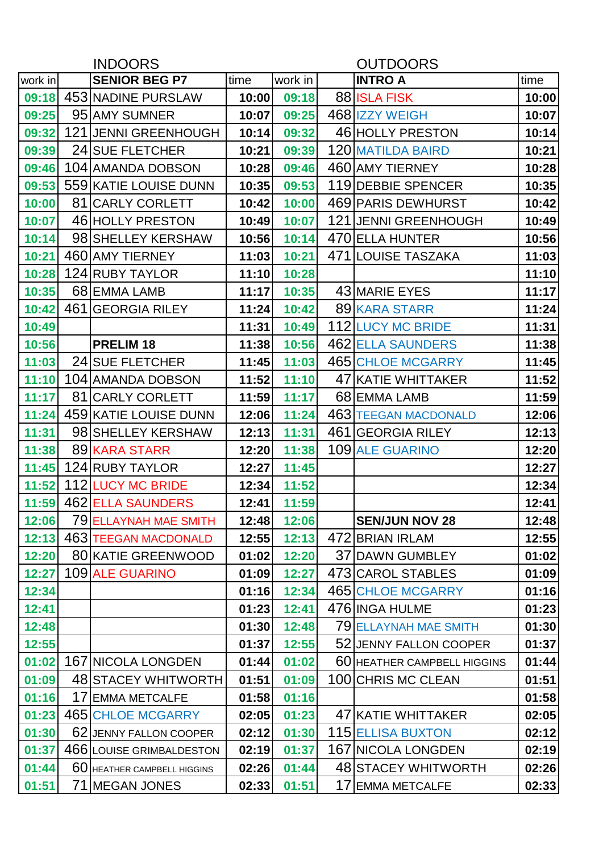| <b>INDOORS</b> |  |                             |       | <b>OUTDOORS</b> |  |                             |       |  |  |
|----------------|--|-----------------------------|-------|-----------------|--|-----------------------------|-------|--|--|
| work in        |  | <b>SENIOR BEG P7</b>        | time  | work in         |  | <b>INTRO A</b>              | time  |  |  |
|                |  | 09:18 453 NADINE PURSLAW    | 10:00 | 09:18           |  | 88 ISLA FISK                | 10:00 |  |  |
| 09:25          |  | 95 AMY SUMNER               | 10:07 | 09:25           |  | 468 IZZY WEIGH              | 10:07 |  |  |
| 09:32          |  | 121 JENNI GREENHOUGH        | 10:14 | 09:32           |  | 46 HOLLY PRESTON            | 10:14 |  |  |
| 09:39          |  | 24 SUE FLETCHER             | 10:21 | 09:39           |  | 120 MATILDA BAIRD           | 10:21 |  |  |
| 09:46          |  | 104 AMANDA DOBSON           | 10:28 | 09:46           |  | 460 AMY TIERNEY             | 10:28 |  |  |
|                |  | 09:53 559 KATIE LOUISE DUNN | 10:35 | 09:53           |  | 119 DEBBIE SPENCER          | 10:35 |  |  |
| 10:00          |  | 81 CARLY CORLETT            | 10:42 | 10:00           |  | 469 PARIS DEWHURST          | 10:42 |  |  |
| 10:07          |  | 46 HOLLY PRESTON            | 10:49 | 10:07           |  | 121 JENNI GREENHOUGH        | 10:49 |  |  |
| 10:14          |  | 98 SHELLEY KERSHAW          | 10:56 | 10:14           |  | 470 ELLA HUNTER             | 10:56 |  |  |
| 10:21          |  | 460 AMY TIERNEY             | 11:03 | 10:21           |  | 471 LOUISE TASZAKA          | 11:03 |  |  |
| 10:28          |  | 124 RUBY TAYLOR             | 11:10 | 10:28           |  |                             | 11:10 |  |  |
| 10:35          |  | 68 EMMA LAMB                | 11:17 | 10:35           |  | 43 MARIE EYES               | 11:17 |  |  |
| 10:42          |  | 461 GEORGIA RILEY           | 11:24 | 10:42           |  | 89 KARA STARR               | 11:24 |  |  |
| 10:49          |  |                             | 11:31 | 10:49           |  | 112 LUCY MC BRIDE           | 11:31 |  |  |
| 10:56          |  | PRELIM <sub>18</sub>        | 11:38 | 10:56           |  | 462 ELLA SAUNDERS           | 11:38 |  |  |
| 11:03          |  | <b>24 SUE FLETCHER</b>      | 11:45 | 11:03           |  | 465 CHLOE MCGARRY           | 11:45 |  |  |
| 11:10          |  | 104 AMANDA DOBSON           | 11:52 | 11:10           |  | 47 KATIE WHITTAKER          | 11:52 |  |  |
| 11:17          |  | 81 CARLY CORLETT            | 11:59 | 11:17           |  | 68 EMMA LAMB                | 11:59 |  |  |
| 11:24          |  | 459 KATIE LOUISE DUNN       | 12:06 | 11:24           |  | 463 TEEGAN MACDONALD        | 12:06 |  |  |
| 11:31          |  | 98 SHELLEY KERSHAW          | 12:13 | 11:31           |  | 461 GEORGIA RILEY           | 12:13 |  |  |
| 11:38          |  | 89 KARA STARR               | 12:20 | 11:38           |  | 109 ALE GUARINO             | 12:20 |  |  |
|                |  | 11:45 124 RUBY TAYLOR       | 12:27 | 11:45           |  |                             | 12:27 |  |  |
|                |  | 11:52 112 LUCY MC BRIDE     | 12:34 | 11:52           |  |                             | 12:34 |  |  |
|                |  | 11:59 462 ELLA SAUNDERS     | 12:41 | 11:59           |  |                             | 12:41 |  |  |
| 12:06          |  | 79 ELLAYNAH MAE SMITH       | 12:48 | 12:06           |  | <b>SEN/JUN NOV 28</b>       | 12:48 |  |  |
| 12:13          |  | <b>463 TEEGAN MACDONALD</b> | 12:55 | 12:13           |  | 472 BRIAN IRLAM             | 12:55 |  |  |
| 12:20          |  | 80 KATIE GREENWOOD          | 01:02 | 12:20           |  | 37 DAWN GUMBLEY             | 01:02 |  |  |
| 12:27          |  | 109 ALE GUARINO             | 01:09 | 12:27           |  | 473 CAROL STABLES           | 01:09 |  |  |
| 12:34          |  |                             | 01:16 | 12:34           |  | 465 CHLOE MCGARRY           | 01:16 |  |  |
| 12:41          |  |                             | 01:23 | 12:41           |  | 476 INGA HULME              | 01:23 |  |  |
| 12:48          |  |                             | 01:30 | 12:48           |  | 79 ELLAYNAH MAE SMITH       | 01:30 |  |  |
| 12:55          |  |                             | 01:37 | 12:55           |  | 52 JENNY FALLON COOPER      | 01:37 |  |  |
|                |  | 01:02 167 NICOLA LONGDEN    | 01:44 | 01:02           |  | 60 HEATHER CAMPBELL HIGGINS | 01:44 |  |  |
| 01:09          |  | <b>48 STACEY WHITWORTH</b>  | 01:51 | 01:09           |  | 100 CHRIS MC CLEAN          | 01:51 |  |  |
| 01:16          |  | 17 EMMA METCALFE            | 01:58 | 01:16           |  |                             | 01:58 |  |  |
| 01:23          |  | <b>465 CHLOE MCGARRY</b>    | 02:05 | 01:23           |  | 47 KATIE WHITTAKER          | 02:05 |  |  |
| 01:30          |  | 62 JENNY FALLON COOPER      | 02:12 | 01:30           |  | <b>115 ELLISA BUXTON</b>    | 02:12 |  |  |
| 01:37          |  | 466 LOUISE GRIMBALDESTON    | 02:19 | 01:37           |  | 167 NICOLA LONGDEN          | 02:19 |  |  |
| 01:44          |  | 60 HEATHER CAMPBELL HIGGINS | 02:26 | 01:44           |  | 48 STACEY WHITWORTH         | 02:26 |  |  |
| 01:51          |  | 71 MEGAN JONES              | 02:33 | 01:51           |  | 17 EMMA METCALFE            | 02:33 |  |  |